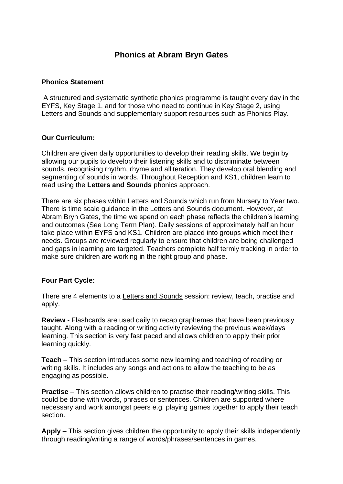# **Phonics at Abram Bryn Gates**

#### **Phonics Statement**

A structured and systematic synthetic phonics programme is taught every day in the EYFS, Key Stage 1, and for those who need to continue in Key Stage 2, using Letters and Sounds and supplementary support resources such as Phonics Play.

#### **Our Curriculum:**

Children are given daily opportunities to develop their reading skills. We begin by allowing our pupils to develop their listening skills and to discriminate between sounds, recognising rhythm, rhyme and alliteration. They develop oral blending and segmenting of sounds in words. Throughout Reception and KS1, children learn to read using the **Letters and Sounds** phonics approach.

There are six phases within Letters and Sounds which run from Nursery to Year two. There is time scale guidance in the Letters and Sounds document. However, at Abram Bryn Gates, the time we spend on each phase reflects the children's learning and outcomes (See Long Term Plan). Daily sessions of approximately half an hour take place within EYFS and KS1. Children are placed into groups which meet their needs. Groups are reviewed regularly to ensure that children are being challenged and gaps in learning are targeted. Teachers complete half termly tracking in order to make sure children are working in the right group and phase.

## **Four Part Cycle:**

There are 4 elements to a Letters and Sounds session: review, teach, practise and apply.

**Review** - Flashcards are used daily to recap graphemes that have been previously taught. Along with a reading or writing activity reviewing the previous week/days learning. This section is very fast paced and allows children to apply their prior learning quickly.

**Teach** – This section introduces some new learning and teaching of reading or writing skills. It includes any songs and actions to allow the teaching to be as engaging as possible.

**Practise** – This section allows children to practise their reading/writing skills. This could be done with words, phrases or sentences. Children are supported where necessary and work amongst peers e.g. playing games together to apply their teach section.

**Apply** – This section gives children the opportunity to apply their skills independently through reading/writing a range of words/phrases/sentences in games.